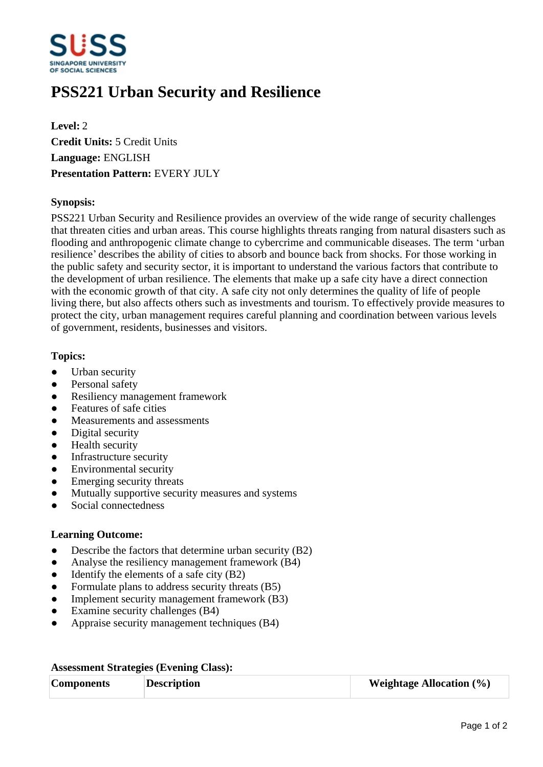

# **PSS221 Urban Security and Resilience**

**Level:** 2 **Credit Units:** 5 Credit Units **Language:** ENGLISH **Presentation Pattern:** EVERY JULY

### **Synopsis:**

PSS221 Urban Security and Resilience provides an overview of the wide range of security challenges that threaten cities and urban areas. This course highlights threats ranging from natural disasters such as flooding and anthropogenic climate change to cybercrime and communicable diseases. The term 'urban resilience' describes the ability of cities to absorb and bounce back from shocks. For those working in the public safety and security sector, it is important to understand the various factors that contribute to the development of urban resilience. The elements that make up a safe city have a direct connection with the economic growth of that city. A safe city not only determines the quality of life of people living there, but also affects others such as investments and tourism. To effectively provide measures to protect the city, urban management requires careful planning and coordination between various levels of government, residents, businesses and visitors.

### **Topics:**

- Urban security
- Personal safety
- Resiliency management framework
- Features of safe cities
- Measurements and assessments
- Digital security
- Health security
- Infrastructure security
- Environmental security
- Emerging security threats
- Mutually supportive security measures and systems
- Social connectedness

## **Learning Outcome:**

- Describe the factors that determine urban security (B2)
- Analyse the resiliency management framework (B4)
- $\bullet$  Identify the elements of a safe city (B2)
- Formulate plans to address security threats  $(B5)$
- Implement security management framework (B3)
- Examine security challenges (B4)
- ƔAppraise security management techniques (B4)

#### **Assessment Strategies (Evening Class):**

| <b>Components</b> | <b>Description</b> | <b>Weightage Allocation</b> $(\%)$ |
|-------------------|--------------------|------------------------------------|
|                   |                    |                                    |